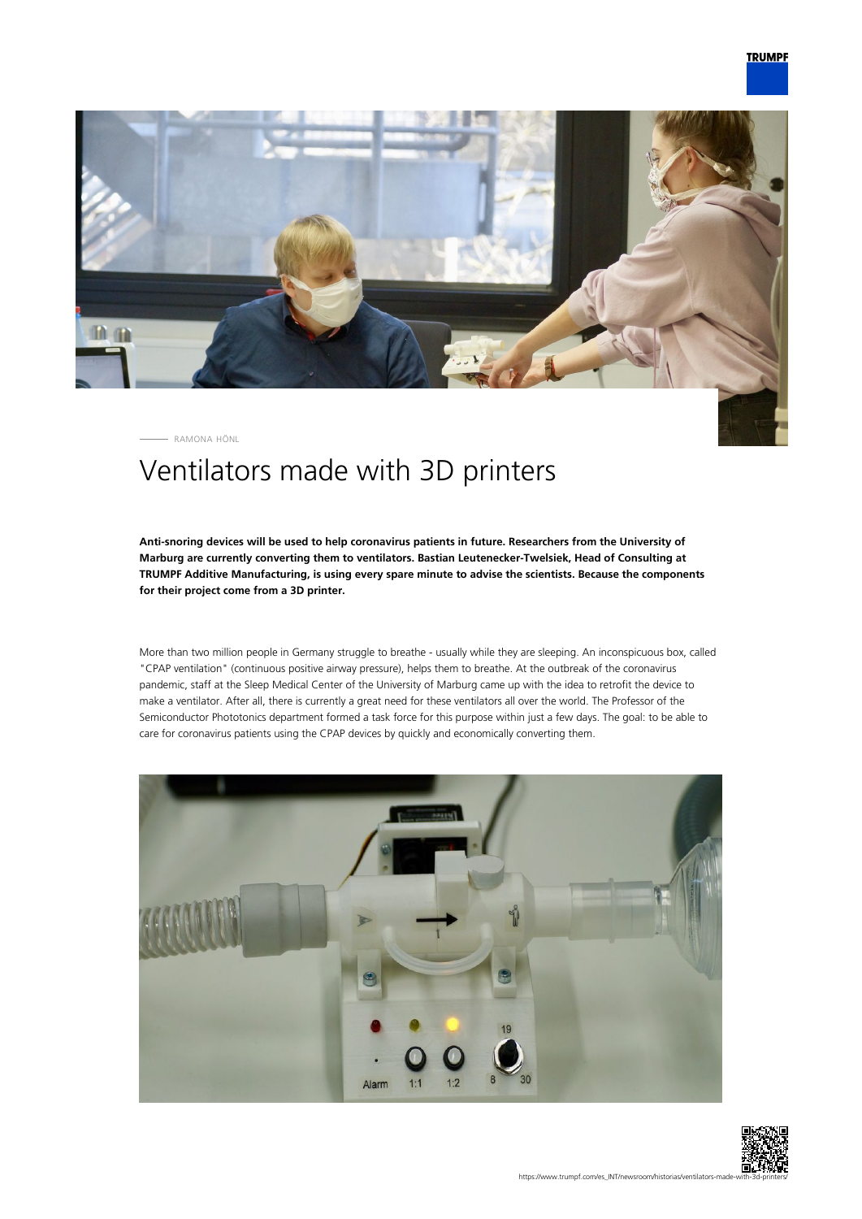

RAMONA HÖNL

## Ventilators made with 3D printers

**Anti-snoring devices will be used to help coronavirus patients in future. Researchers from the University of Marburg are currently converting them to ventilators. Bastian Leutenecker-Twelsiek, Head of Consulting at TRUMPF Additive Manufacturing, is using every spare minute to advise the scientists. Because the components for their project come from a 3D printer.**

More than two million people in Germany struggle to breathe - usually while they are sleeping. An inconspicuous box, called "CPAP ventilation" (continuous positive airway pressure), helps them to breathe. At the outbreak of the coronavirus pandemic, staff at the Sleep Medical Center of the University of Marburg came up with the idea to retrofit the device to make a ventilator. After all, there is currently a great need for these ventilators all over the world. The Professor of the Semiconductor Phototonics department formed a task force for this purpose within just a few days. The goal: to be able to care for coronavirus patients using the CPAP devices by quickly and economically converting them.



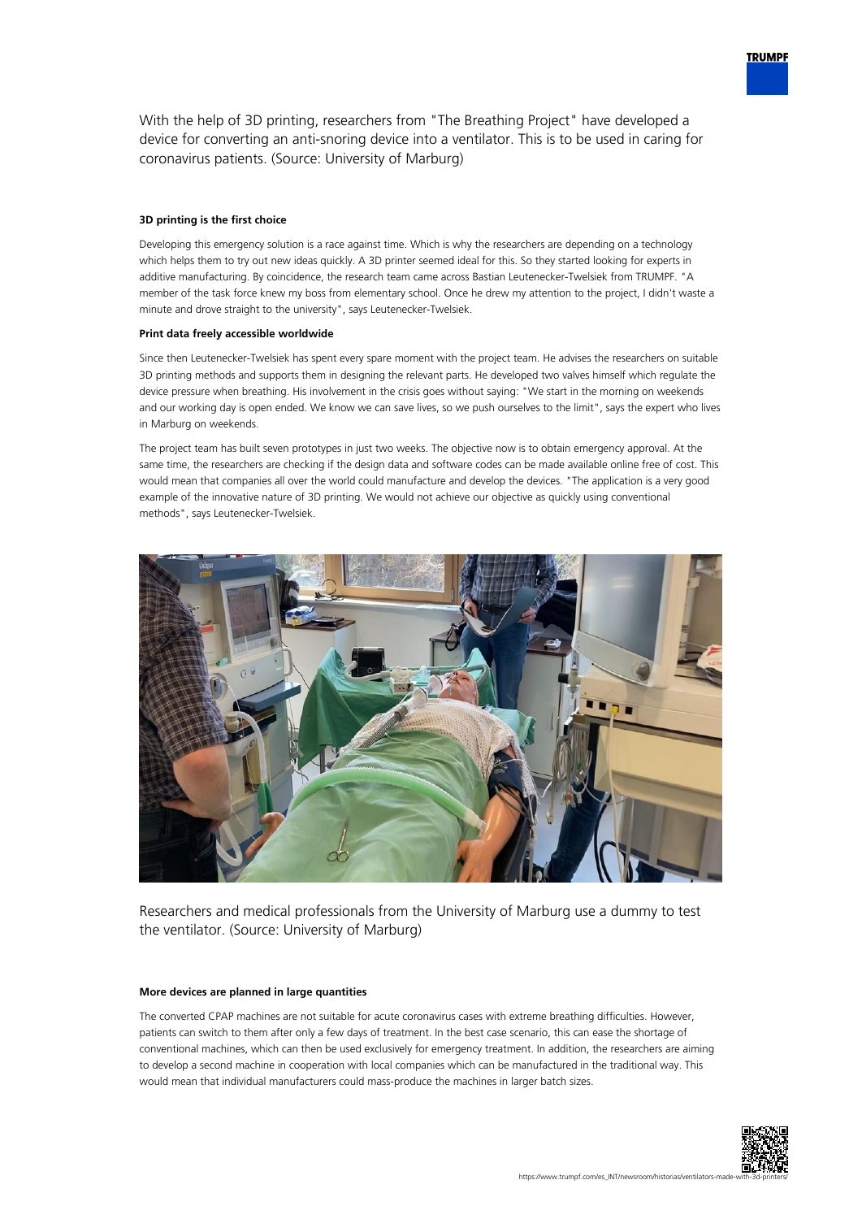

## **3D printing is the first choice**

Developing this emergency solution is a race against time. Which is why the researchers are depending on a technology which helps them to try out new ideas quickly. A 3D printer seemed ideal for this. So they started looking for experts in additive manufacturing. By coincidence, the research team came across Bastian Leutenecker-Twelsiek from TRUMPF. "A member of the task force knew my boss from elementary school. Once he drew my attention to the project, I didn't waste a minute and drove straight to the university", says Leutenecker-Twelsiek.

## **Print data freely accessible worldwide**

Since then Leutenecker-Twelsiek has spent every spare moment with the project team. He advises the researchers on suitable 3D printing methods and supports them in designing the relevant parts. He developed two valves himself which regulate the device pressure when breathing. His involvement in the crisis goes without saying: "We start in the morning on weekends and our working day is open ended. We know we can save lives, so we push ourselves to the limit", says the expert who lives in Marburg on weekends.

The project team has built seven prototypes in just two weeks. The objective now is to obtain emergency approval. At the same time, the researchers are checking if the design data and software codes can be made available online free of cost. This would mean that companies all over the world could manufacture and develop the devices. "The application is a very good example of the innovative nature of 3D printing. We would not achieve our objective as quickly using conventional methods", says Leutenecker-Twelsiek.



Researchers and medical professionals from the University of Marburg use a dummy to test the ventilator. (Source: University of Marburg)

## **More devices are planned in large quantities**

The converted CPAP machines are not suitable for acute coronavirus cases with extreme breathing difficulties. However, patients can switch to them after only a few days of treatment. In the best case scenario, this can ease the shortage of conventional machines, which can then be used exclusively for emergency treatment. In addition, the researchers are aiming to develop a second machine in cooperation with local companies which can be manufactured in the traditional way. This would mean that individual manufacturers could mass-produce the machines in larger batch sizes.



**TRUMPF**